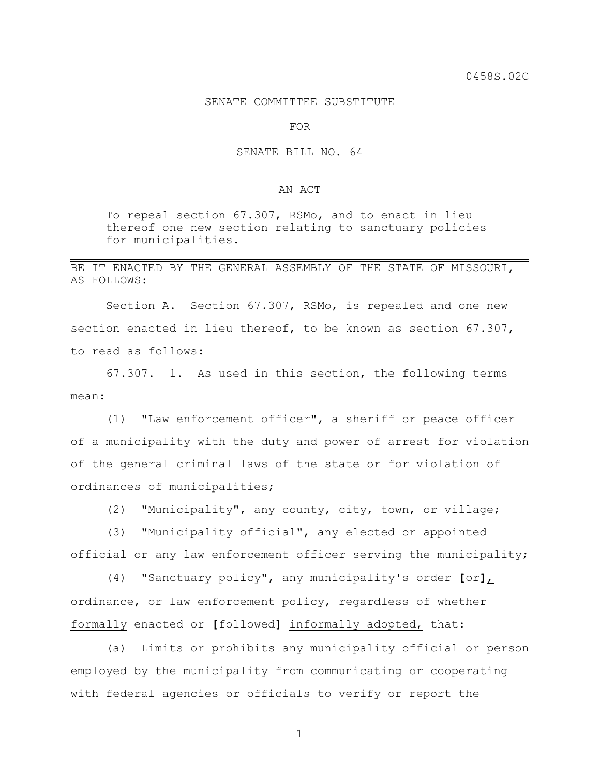## SENATE COMMITTEE SUBSTITUTE

FOR

## SENATE BILL NO. 64

## AN ACT

To repeal section 67.307, RSMo, and to enact in lieu thereof one new section relating to sanctuary policies for municipalities.

## BE IT ENACTED BY THE GENERAL ASSEMBLY OF THE STATE OF MISSOURI, AS FOLLOWS:

Section A. Section 67.307, RSMo, is repealed and one new section enacted in lieu thereof, to be known as section 67.307, to read as follows:

67.307. 1. As used in this section, the following terms mean:

(1) "Law enforcement officer", a sheriff or peace officer of a municipality with the duty and power of arrest for violation of the general criminal laws of the state or for violation of ordinances of municipalities;

(2) "Municipality", any county, city, town, or village;

(3) "Municipality official", any elected or appointed official or any law enforcement officer serving the municipality;

(4) "Sanctuary policy", any municipality's order **[**or**]**, ordinance, or law enforcement policy, regardless of whether formally enacted or **[**followed**]** informally adopted, that:

(a) Limits or prohibits any municipality official or person employed by the municipality from communicating or cooperating with federal agencies or officials to verify or report the

1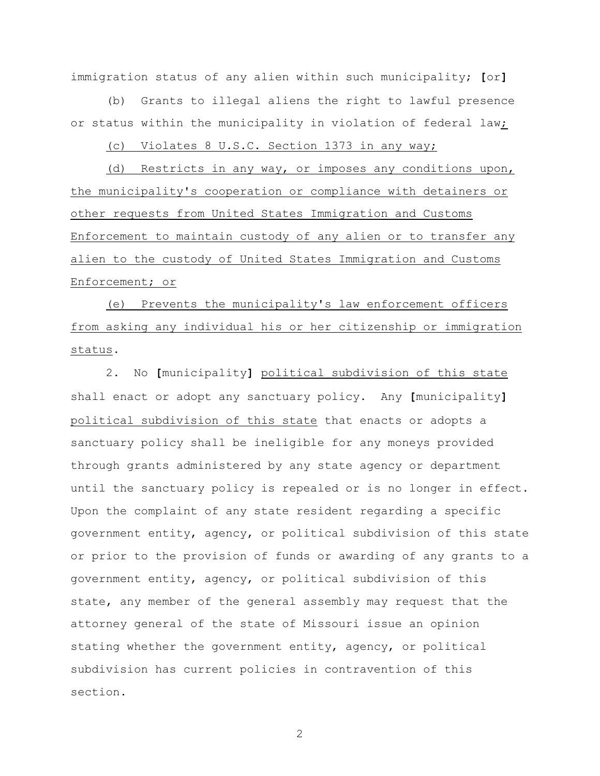immigration status of any alien within such municipality; **[**or**]**

(b) Grants to illegal aliens the right to lawful presence or status within the municipality in violation of federal law;

(c) Violates 8 U.S.C. Section 1373 in any way;

(d) Restricts in any way, or imposes any conditions upon, the municipality's cooperation or compliance with detainers or other requests from United States Immigration and Customs Enforcement to maintain custody of any alien or to transfer any alien to the custody of United States Immigration and Customs Enforcement; or

(e) Prevents the municipality's law enforcement officers from asking any individual his or her citizenship or immigration status.

2. No **[**municipality**]** political subdivision of this state shall enact or adopt any sanctuary policy. Any **[**municipality**]** political subdivision of this state that enacts or adopts a sanctuary policy shall be ineligible for any moneys provided through grants administered by any state agency or department until the sanctuary policy is repealed or is no longer in effect. Upon the complaint of any state resident regarding a specific government entity, agency, or political subdivision of this state or prior to the provision of funds or awarding of any grants to a government entity, agency, or political subdivision of this state, any member of the general assembly may request that the attorney general of the state of Missouri issue an opinion stating whether the government entity, agency, or political subdivision has current policies in contravention of this section.

2